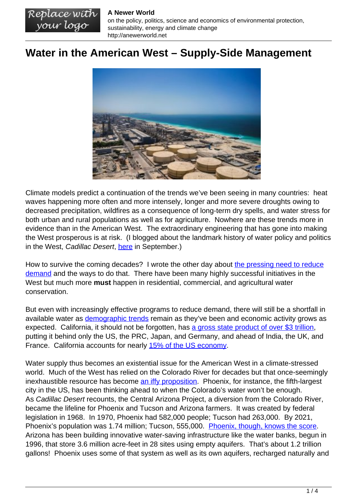## **A Newer World**

Replace with<br>your logo

on the policy, politics, science and economics of environmental protection, sustainability, energy and climate change http://anewerworld.net

## **Water in the American West – Supply-Side Management**



Climate models predict a continuation of the trends we've been seeing in many countries: heat waves happening more often and more intensely, longer and more severe droughts owing to decreased precipitation, wildfires as a consequence of long-term dry spells, and water stress for both urban and rural populations as well as for agriculture. Nowhere are these trends more in evidence than in the American West. The extraordinary engineering that has gone into making the West prosperous is at risk. (I blogged about the landmark history of water policy and politics in the West, Cadillac Desert, [here](http://anewerworld.net/water-flows-toward-power-and-money/) in September.)

How to survive the coming decades? I wrote the other day about [the pressing need to reduce](http://anewerworld.net/water-in-the-american-west-a-to-do-list/) [demand](http://anewerworld.net/water-in-the-american-west-a-to-do-list/) and the ways to do that. There have been many highly successful initiatives in the West but much more **must** happen in residential, commercial, and agricultural water conservation.

But even with increasingly effective programs to reduce demand, there will still be a shortfall in available water as [demographic trends](https://www.hcn.org/articles/politics-how-the-west-has-changed-since-the-last-census) remain as they've been and economic activity grows as expected. California, it should not be forgotten, has [a gross state product of over \\$3 trillion](https://en.wikipedia.org/wiki/Comparison_between_U.S._states_and_sovereign_states_by_GDP), putting it behind only the US, the PRC, Japan, and Germany, and ahead of India, the UK, and France. California accounts for nearly [15% of the US economy.](https://en.wikipedia.org/wiki/List_of_states_and_territories_of_the_United_States_by_GDP)

Water supply thus becomes an existential issue for the American West in a climate-stressed world. Much of the West has relied on the Colorado River for decades but that once-seemingly inexhaustible resource has become [an iffy proposition.](https://www.nytimes.com/2021/08/16/climate/colorado-river-water-cuts.html) Phoenix, for instance, the fifth-largest city in the US, has been thinking ahead to when the Colorado's water won't be enough. As Cadillac Desert recounts, the Central Arizona Project, a diversion from the Colorado River, became the lifeline for Phoenix and Tucson and Arizona farmers. It was created by federal legislation in 1968. In 1970, Phoenix had 582,000 people; Tucson had 263,000. By 2021, Phoenix's population was 1.74 million; Tucson, 555,000. [Phoenix, though, knows the score](https://e360.yale.edu/features/how-phoenix-is-preparing-for-a-future-without-colorado-river-water). Arizona has been building innovative water-saving infrastructure like the water banks, begun in 1996, that store 3.6 million acre-feet in 28 sites using empty aquifers. That's about 1.2 trillion gallons! Phoenix uses some of that system as well as its own aquifers, recharged naturally and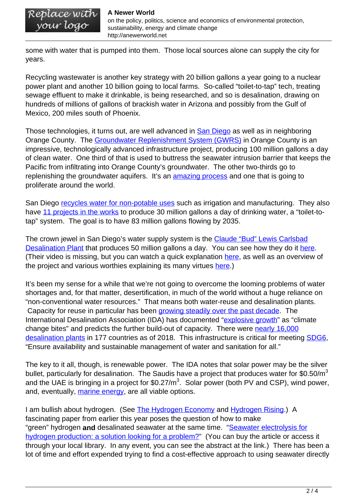on the policy, politics, science and economics of environmental protection, your logo sustainability, energy and climate change http://anewerworld.net

some with water that is pumped into them. Those local sources alone can supply the city for years.

Recycling wastewater is another key strategy with 20 billion gallons a year going to a nuclear power plant and another 10 billion going to local farms. So-called "toilet-to-tap" tech, treating sewage effluent to make it drinkable, is being researched, and so is desalination, drawing on hundreds of millions of gallons of brackish water in Arizona and possibly from the Gulf of Mexico, 200 miles south of Phoenix.

Those technologies, it turns out, are well advanced in **San Diego** as well as in neighboring Orange County. The [Groundwater Replenishment System \(GWRS\)](https://www.ocwd.com/gwrs/) in Orange County is an impressive, technologically advanced infrastructure project, producing 100 million gallons a day of clean water. One third of that is used to buttress the seawater intrusion barrier that keeps the Pacific from infiltrating into Orange County's groundwater. The other two-thirds go to replenishing the groundwater aquifers. It's an [amazing process](https://www.ocwd.com/gwrs/the-process/) and one that is going to proliferate around the world.

San Diego [recycles water for non-potable uses](https://www.sandiego.gov/public-utilities/sustainability/recycled-water) such as irrigation and manufacturing. They also have [11 projects in the works](https://www.sandiego.gov/public-utilities/sustainability/pure-water-sd/phase-1-projects) to produce 30 million gallons a day of drinking water, a "toilet-totap" system. The goal is to have 83 million gallons flowing by 2035.

The crown jewel in San Diego's water supply system is the [Claude "Bud" Lewis Carlsbad](https://carlsbaddesal.sdcwa.org/) [Desalination Plant](https://carlsbaddesal.sdcwa.org/) that produces 50 million gallons a day. You can see how they do it [here.](https://carlsbaddesal.sdcwa.org/desal-process/) (Their video is missing, but you can watch a quick explanation [here,](https://www.youtube.com/watch?v=1xcGmv25rxM&t=8s) as well as an overview of the project and various worthies explaining its many virtues [here](https://youtu.be/vTjalFpcAjo).)

It's been my sense for a while that we're not going to overcome the looming problems of water shortages and, for that matter, desertification, in much of the world without a huge reliance on "non-conventional water resources." That means both water-reuse and desalination plants. Capacity for reuse in particular has been [growing steadily over the past decade](https://idadesal.org/wp-content/uploads/2021/10/GWI-DesalData-2.png). The International Desalination Association (IDA) has documented ["explosive growth"](https://idadesal.org/explosive-growth-in-demand-for-unconventional-water-resources-as-climate-change-bites/) as "climate change bites" and predicts the further build-out of capacity. There were [nearly 16,000](https://www.unep.org/news-and-stories/story/five-things-know-about-desalination) [desalination plants](https://www.unep.org/news-and-stories/story/five-things-know-about-desalination) in 177 countries as of 2018. This infrastructure is critical for meeting [SDG6](https://sdgs.un.org/goals/goal6), "Ensure availability and sustainable management of water and sanitation for all."

The key to it all, though, is renewable power. The IDA notes that solar power may be the silver bullet, particularly for desalination. The Saudis have a project that produces water for  $$0.50/m^3$ and the UAE is bringing in a project for \$0.27/m<sup>3</sup>. Solar power (both PV and CSP), wind power, and. eventually, [marine energy,](https://www.emec.org.uk/marine-energy/) are all viable options.

I am bullish about hydrogen. (See [The Hydrogen Economy](http://anewerworld.net/the-hydrogen-economy/) and [Hydrogen Rising](http://anewerworld.net/hydrogen-rising/).) A fascinating paper from earlier this year poses the question of how to make "green" hydrogen **and** desalinated seawater at the same time. "[Seawater electrolysis for](https://pubs.rsc.org/en/content/articlelanding/2021/ee/d1ee00870f/unauth) [hydrogen production: a solution looking for a problem?"](https://pubs.rsc.org/en/content/articlelanding/2021/ee/d1ee00870f/unauth) (You can buy the article or access it through your local library. In any event, you can see the abstract at the link.) There has been a lot of time and effort expended trying to find a cost-effective approach to using seawater directly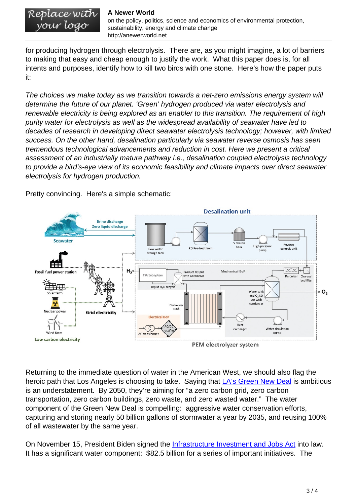## Replace with<br>your logo **A Newer World** on the policy, politics, science and economics of environmental protection, sustainability, energy and climate change http://anewerworld.net

for producing hydrogen through electrolysis. There are, as you might imagine, a lot of barriers to making that easy and cheap enough to justify the work. What this paper does is, for all intents and purposes, identify how to kill two birds with one stone. Here's how the paper puts it:

The choices we make today as we transition towards a net-zero emissions energy system will determine the future of our planet. 'Green' hydrogen produced via water electrolysis and renewable electricity is being explored as an enabler to this transition. The requirement of high purity water for electrolysis as well as the widespread availability of seawater have led to decades of research in developing direct seawater electrolysis technology; however, with limited success. On the other hand, desalination particularly via seawater reverse osmosis has seen tremendous technological advancements and reduction in cost. Here we present a critical assessment of an industrially mature pathway i.e., desalination coupled electrolysis technology to provide a bird's-eye view of its economic feasibility and climate impacts over direct seawater electrolysis for hydrogen production.

Pretty convincing. Here's a simple schematic:



Returning to the immediate question of water in the American West, we should also flag the heroic path that Los Angeles is choosing to take. Saying that [LA's Green New Deal](https://plan.lamayor.org/targets/targets_plan.html) is ambitious is an understatement. By 2050, they're aiming for "a zero carbon grid, zero carbon transportation, zero carbon buildings, zero waste, and zero wasted water." The water component of the Green New Deal is compelling: aggressive water conservation efforts, capturing and storing nearly 50 billion gallons of stormwater a year by 2035, and reusing 100% of all wastewater by the same year.

On November 15, President Biden signed the **Infrastructure Investment and Jobs Act** into law. It has a significant water component: \$82.5 billion for a series of important initiatives. The